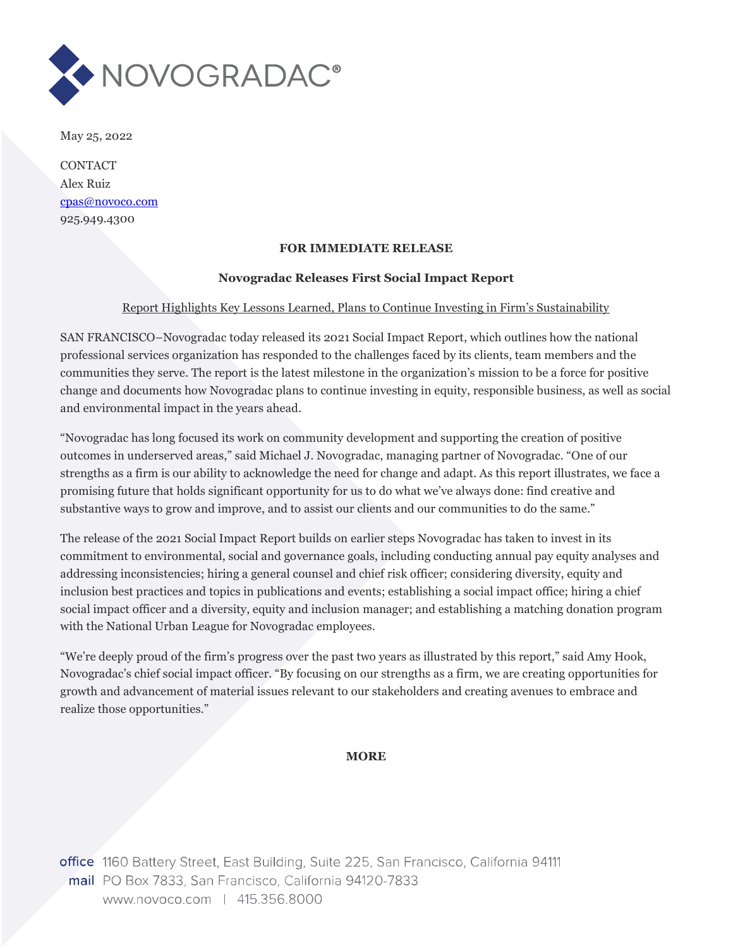

May 25, 2022

**CONTACT** Alex Ruiz cpas@novoco.com 925.949.4300

## FOR IMMEDIATE RELEASE

## Novogradac Releases First Social Impact Report

## Report Highlights Key Lessons Learned, Plans to Continue Investing in Firm's Sustainability

SAN FRANCISCO–Novogradac today released its 2021 Social Impact Report, which outlines how the national professional services organization has responded to the challenges faced by its clients, team members and the communities they serve. The report is the latest milestone in the organization's mission to be a force for positive change and documents how Novogradac plans to continue investing in equity, responsible business, as well as social and environmental impact in the years ahead.

"Novogradac has long focused its work on community development and supporting the creation of positive outcomes in underserved areas," said Michael J. Novogradac, managing partner of Novogradac. "One of our strengths as a firm is our ability to acknowledge the need for change and adapt. As this report illustrates, we face a promising future that holds significant opportunity for us to do what we've always done: find creative and substantive ways to grow and improve, and to assist our clients and our communities to do the same."

The release of the 2021 Social Impact Report builds on earlier steps Novogradac has taken to invest in its commitment to environmental, social and governance goals, including conducting annual pay equity analyses and addressing inconsistencies; hiring a general counsel and chief risk officer; considering diversity, equity and inclusion best practices and topics in publications and events; establishing a social impact office; hiring a chief social impact officer and a diversity, equity and inclusion manager; and establishing a matching donation program with the National Urban League for Novogradac employees.

"We're deeply proud of the firm's progress over the past two years as illustrated by this report," said Amy Hook, Novogradac's chief social impact officer. "By focusing on our strengths as a firm, we are creating opportunities for growth and advancement of material issues relevant to our stakeholders and creating avenues to embrace and realize those opportunities."

# **MORE**

office 1160 Battery Street, East Building, Suite 225, San Francisco, California 94111 mail PO Box 7833, San Francisco, California 94120-7833 www.novoco.com | 415.356.8000